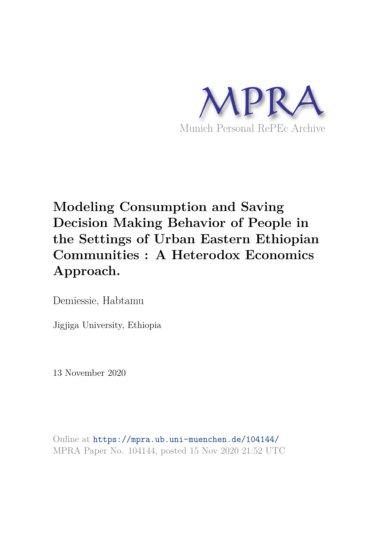

# **Modeling Consumption and Saving Decision Making Behavior of People in the Settings of Urban Eastern Ethiopian Communities : A Heterodox Economics Approach.**

Demiessie, Habtamu

Jigjiga University, Ethiopia

13 November 2020

Online at https://mpra.ub.uni-muenchen.de/104144/ MPRA Paper No. 104144, posted 15 Nov 2020 21:52 UTC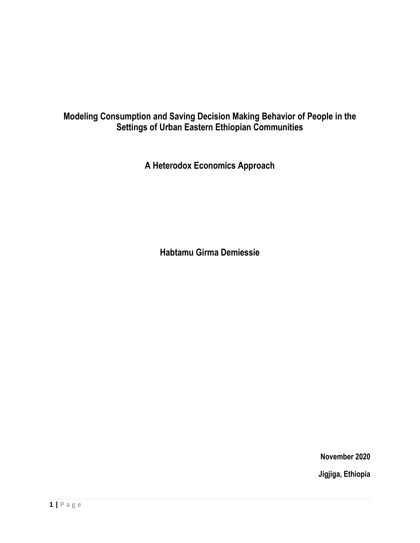## **Modeling Consumption and Saving Decision Making Behavior of People in the Settings of Urban Eastern Ethiopian Communities**

**A Heterodox Economics Approach** 

**Habtamu Girma Demiessie** 

**November 2020 Jigjiga, Ethiopia**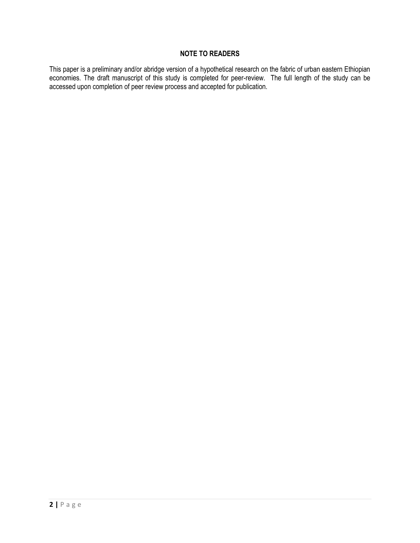## **NOTE TO READERS**

This paper is a preliminary and/or abridge version of a hypothetical research on the fabric of urban eastern Ethiopian economies. The draft manuscript of this study is completed for peer-review. The full length of the study can be accessed upon completion of peer review process and accepted for publication.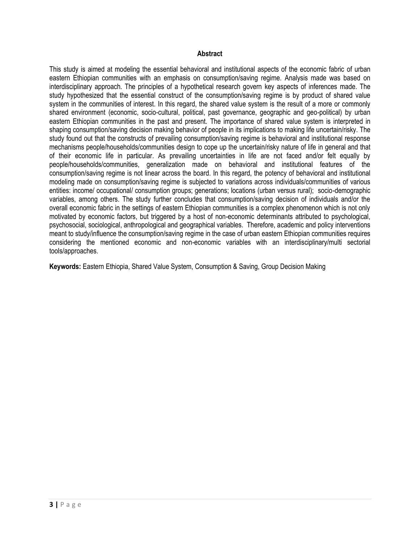#### **Abstract**

This study is aimed at modeling the essential behavioral and institutional aspects of the economic fabric of urban eastern Ethiopian communities with an emphasis on consumption/saving regime. Analysis made was based on interdisciplinary approach. The principles of a hypothetical research govern key aspects of inferences made. The study hypothesized that the essential construct of the consumption/saving regime is by product of shared value system in the communities of interest. In this regard, the shared value system is the result of a more or commonly shared environment (economic, socio-cultural, political, past governance, geographic and geo-political) by urban eastern Ethiopian communities in the past and present. The importance of shared value system is interpreted in shaping consumption/saving decision making behavior of people in its implications to making life uncertain/risky. The study found out that the constructs of prevailing consumption/saving regime is behavioral and institutional response mechanisms people/households/communities design to cope up the uncertain/risky nature of life in general and that of their economic life in particular. As prevailing uncertainties in life are not faced and/or felt equally by people/households/communities, generalization made on behavioral and institutional features of the consumption/saving regime is not linear across the board. In this regard, the potency of behavioral and institutional modeling made on consumption/saving regime is subjected to variations across individuals/communities of various entities: income/ occupational/ consumption groups; generations; locations (urban versus rural); socio-demographic variables, among others. The study further concludes that consumption/saving decision of individuals and/or the overall economic fabric in the settings of eastern Ethiopian communities is a complex phenomenon which is not only motivated by economic factors, but triggered by a host of non-economic determinants attributed to psychological, psychosocial, sociological, anthropological and geographical variables. Therefore, academic and policy interventions meant to study/influence the consumption/saving regime in the case of urban eastern Ethiopian communities requires considering the mentioned economic and non-economic variables with an interdisciplinary/multi sectorial tools/approaches.

**Keywords:** Eastern Ethiopia, Shared Value System, Consumption & Saving, Group Decision Making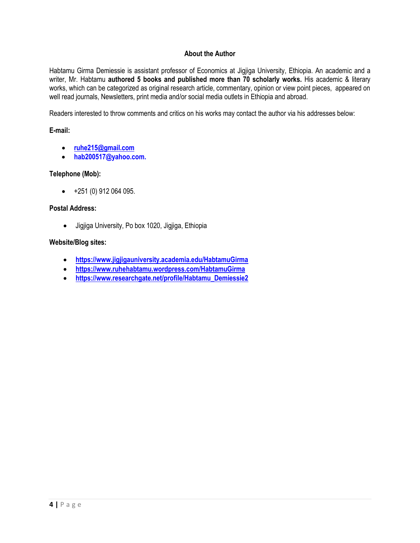#### **About the Author**

Habtamu Girma Demiessie is assistant professor of Economics at Jigjiga University, Ethiopia. An academic and a writer, Mr. Habtamu **authored 5 books and published more than 70 scholarly works.** His academic & literary works, which can be categorized as original research article, commentary, opinion or view point pieces, appeared on well read journals, Newsletters, print media and/or social media outlets in Ethiopia and abroad.

Readers interested to throw comments and critics on his works may contact the author via his addresses below:

#### **E-mail:**

- **[ruhe215@gmail.com](mailto:ruhe215@gmail.com)**
- **hab200517@yahoo.com.**

#### **Telephone (Mob):**

 $\bullet$  +251 (0) 912 064 095.

#### **Postal Address:**

Jigjiga University, Po box 1020, Jigjiga, Ethiopia

#### **Website/Blog sites:**

- **<https://www.jigjigauniversity.academia.edu/HabtamuGirma>**
- **<https://www.ruhehabtamu.wordpress.com/HabtamuGirma>**
- **[https://www.researchgate.net/profile/Habtamu\\_Demiessie2](https://www.researchgate.net/profile/Habtamu_Demiessie2)**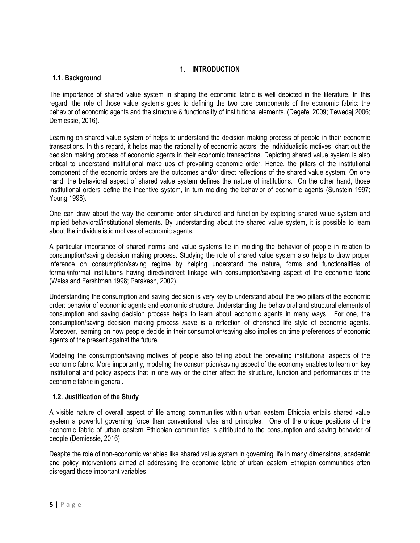## **1. INTRODUCTION**

#### **1.1. Background**

The importance of shared value system in shaping the economic fabric is well depicted in the literature. In this regard, the role of those value systems goes to defining the two core components of the economic fabric: the behavior of economic agents and the structure & functionality of institutional elements. (Degefe, 2009; Tewedaj,2006; Demiessie, 2016).

Learning on shared value system of helps to understand the decision making process of people in their economic transactions. In this regard, it helps map the rationality of economic actors; the individualistic motives; chart out the decision making process of economic agents in their economic transactions. Depicting shared value system is also critical to understand institutional make ups of prevailing economic order. Hence, the pillars of the institutional component of the economic orders are the outcomes and/or direct reflections of the shared value system. On one hand, the behavioral aspect of shared value system defines the nature of institutions. On the other hand, those institutional orders define the incentive system, in turn molding the behavior of economic agents (Sunstein 1997; Young 1998).

One can draw about the way the economic order structured and function by exploring shared value system and implied behavioral/institutional elements. By understanding about the shared value system, it is possible to learn about the individualistic motives of economic agents.

A particular importance of shared norms and value systems lie in molding the behavior of people in relation to consumption/saving decision making process. Studying the role of shared value system also helps to draw proper inference on consumption/saving regime by helping understand the nature, forms and functionalities of formal/informal institutions having direct/indirect linkage with consumption/saving aspect of the economic fabric (Weiss and Fershtman 1998; Parakesh, 2002).

Understanding the consumption and saving decision is very key to understand about the two pillars of the economic order: behavior of economic agents and economic structure. Understanding the behavioral and structural elements of consumption and saving decision process helps to learn about economic agents in many ways. For one, the consumption/saving decision making process /save is a reflection of cherished life style of economic agents. Moreover, learning on how people decide in their consumption/saving also implies on time preferences of economic agents of the present against the future.

Modeling the consumption/saving motives of people also telling about the prevailing institutional aspects of the economic fabric. More importantly, modeling the consumption/saving aspect of the economy enables to learn on key institutional and policy aspects that in one way or the other affect the structure, function and performances of the economic fabric in general.

### **1.2. Justification of the Study**

A visible nature of overall aspect of life among communities within urban eastern Ethiopia entails shared value system a powerful governing force than conventional rules and principles. One of the unique positions of the economic fabric of urban eastern Ethiopian communities is attributed to the consumption and saving behavior of people (Demiessie, 2016)

Despite the role of non-economic variables like shared value system in governing life in many dimensions, academic and policy interventions aimed at addressing the economic fabric of urban eastern Ethiopian communities often disregard those important variables.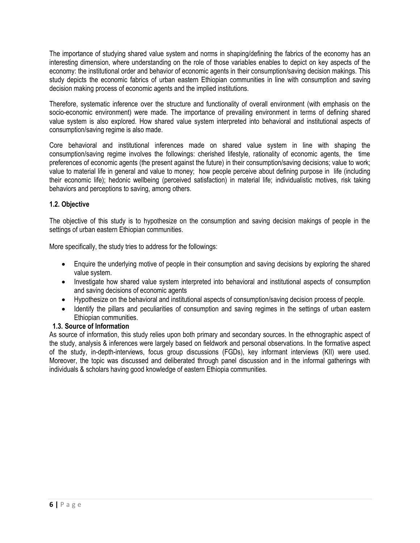The importance of studying shared value system and norms in shaping/defining the fabrics of the economy has an interesting dimension, where understanding on the role of those variables enables to depict on key aspects of the economy: the institutional order and behavior of economic agents in their consumption/saving decision makings. This study depicts the economic fabrics of urban eastern Ethiopian communities in line with consumption and saving decision making process of economic agents and the implied institutions.

Therefore, systematic inference over the structure and functionality of overall environment (with emphasis on the socio-economic environment) were made. The importance of prevailing environment in terms of defining shared value system is also explored. How shared value system interpreted into behavioral and institutional aspects of consumption/saving regime is also made.

Core behavioral and institutional inferences made on shared value system in line with shaping the consumption/saving regime involves the followings: cherished lifestyle, rationality of economic agents, the time preferences of economic agents (the present against the future) in their consumption/saving decisions; value to work; value to material life in general and value to money; how people perceive about defining purpose in life (including their economic life); hedonic wellbeing (perceived satisfaction) in material life; individualistic motives, risk taking behaviors and perceptions to saving, among others.

## **1.2. Objective**

The objective of this study is to hypothesize on the consumption and saving decision makings of people in the settings of urban eastern Ethiopian communities.

More specifically, the study tries to address for the followings:

- Enquire the underlying motive of people in their consumption and saving decisions by exploring the shared value system.
- Investigate how shared value system interpreted into behavioral and institutional aspects of consumption and saving decisions of economic agents
- Hypothesize on the behavioral and institutional aspects of consumption/saving decision process of people.
- Identify the pillars and peculiarities of consumption and saving regimes in the settings of urban eastern Ethiopian communities.

## **1.3. Source of Information**

As source of information, this study relies upon both primary and secondary sources. In the ethnographic aspect of the study, analysis & inferences were largely based on fieldwork and personal observations. In the formative aspect of the study, in-depth-interviews, focus group discussions (FGDs), key informant interviews (KII) were used. Moreover, the topic was discussed and deliberated through panel discussion and in the informal gatherings with individuals & scholars having good knowledge of eastern Ethiopia communities.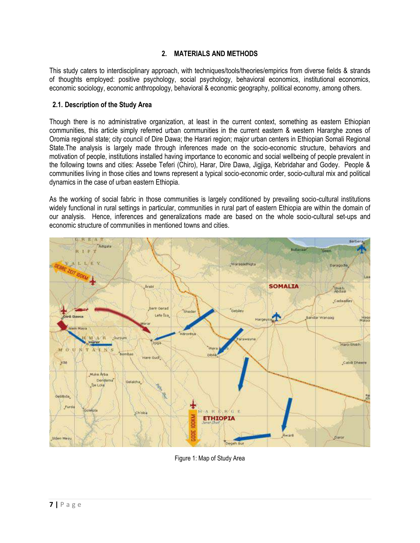## **2. MATERIALS AND METHODS**

This study caters to interdisciplinary approach, with techniques/tools/theories/empirics from diverse fields & strands of thoughts employed: positive psychology, social psychology, behavioral economics, institutional economics, economic sociology, economic anthropology, behavioral & economic geography, political economy, among others.

#### **2.1. Description of the Study Area**

Though there is no administrative organization, at least in the current context, something as eastern Ethiopian communities, this article simply referred urban communities in the current eastern & western Hararghe zones of Oromia regional state; city council of Dire Dawa; the Harari region; major urban centers in Ethiopian Somali Regional State.The analysis is largely made through inferences made on the socio-economic structure, behaviors and motivation of people, institutions installed having importance to economic and social wellbeing of people prevalent in the following towns and cities: Assebe Teferi (Chiro), Harar, Dire Dawa, Jigjiga, Kebridahar and Godey. People & communities living in those cities and towns represent a typical socio-economic order, socio-cultural mix and political dynamics in the case of urban eastern Ethiopia.

As the working of social fabric in those communities is largely conditioned by prevailing socio-cultural institutions widely functional in rural settings in particular, communities in rural part of eastern Ethiopia are within the domain of our analysis. Hence, inferences and generalizations made are based on the whole socio-cultural set-ups and economic structure of communities in mentioned towns and cities.



Figure 1: Map of Study Area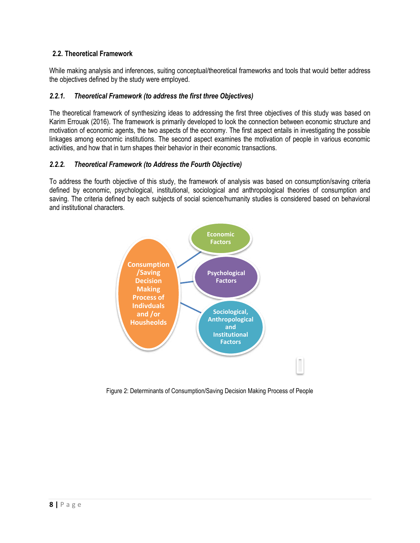## **2.2. Theoretical Framework**

While making analysis and inferences, suiting conceptual/theoretical frameworks and tools that would better address the objectives defined by the study were employed.

## *2.2.1. Theoretical Framework (to address the first three Objectives)*

The theoretical framework of synthesizing ideas to addressing the first three objectives of this study was based on Karim Errouak (2016). The framework is primarily developed to look the connection between economic structure and motivation of economic agents, the two aspects of the economy. The first aspect entails in investigating the possible linkages among economic institutions. The second aspect examines the motivation of people in various economic activities, and how that in turn shapes their behavior in their economic transactions.

### *2.2.2. Theoretical Framework (to Address the Fourth Objective)*

To address the fourth objective of this study, the framework of analysis was based on consumption/saving criteria defined by economic, psychological, institutional, sociological and anthropological theories of consumption and saving. The criteria defined by each subjects of social science/humanity studies is considered based on behavioral and institutional characters.



Figure 2: Determinants of Consumption/Saving Decision Making Process of People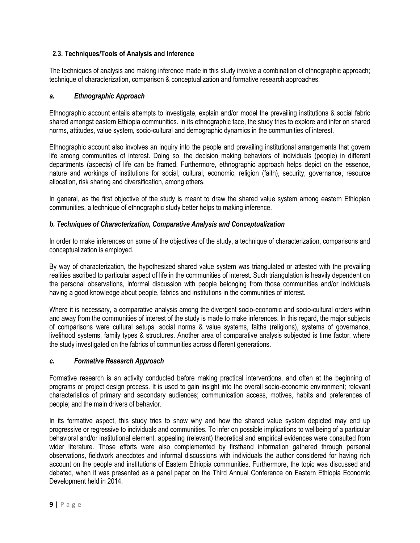## **2.3. Techniques/Tools of Analysis and Inference**

The techniques of analysis and making inference made in this study involve a combination of ethnographic approach; technique of characterization, comparison & conceptualization and formative research approaches.

## *a. Ethnographic Approach*

Ethnographic account entails attempts to investigate, explain and/or model the prevailing institutions & social fabric shared amongst eastern Ethiopia communities. In its ethnographic face, the study tries to explore and infer on shared norms, attitudes, value system, socio-cultural and demographic dynamics in the communities of interest.

Ethnographic account also involves an inquiry into the people and prevailing institutional arrangements that govern life among communities of interest. Doing so, the decision making behaviors of individuals (people) in different departments (aspects) of life can be framed. Furthermore, ethnographic approach helps depict on the essence, nature and workings of institutions for social, cultural, economic, religion (faith), security, governance, resource allocation, risk sharing and diversification, among others.

In general, as the first objective of the study is meant to draw the shared value system among eastern Ethiopian communities, a technique of ethnographic study better helps to making inference.

### *b. Techniques of Characterization, Comparative Analysis and Conceptualization*

In order to make inferences on some of the objectives of the study, a technique of characterization, comparisons and conceptualization is employed.

By way of characterization, the hypothesized shared value system was triangulated or attested with the prevailing realities ascribed to particular aspect of life in the communities of interest. Such triangulation is heavily dependent on the personal observations, informal discussion with people belonging from those communities and/or individuals having a good knowledge about people, fabrics and institutions in the communities of interest.

Where it is necessary, a comparative analysis among the divergent socio-economic and socio-cultural orders within and away from the communities of interest of the study is made to make inferences. In this regard, the major subjects of comparisons were cultural setups, social norms & value systems, faiths (religions), systems of governance, livelihood systems, family types & structures. Another area of comparative analysis subjected is time factor, where the study investigated on the fabrics of communities across different generations.

### *c. Formative Research Approach*

Formative research is an activity conducted before making practical interventions, and often at the beginning of programs or project design process. It is used to gain insight into the overall socio-economic environment; relevant characteristics of primary and secondary audiences; communication access, motives, habits and preferences of people; and the main drivers of behavior.

In its formative aspect, this study tries to show why and how the shared value system depicted may end up progressive or regressive to individuals and communities. To infer on possible implications to wellbeing of a particular behavioral and/or institutional element, appealing (relevant) theoretical and empirical evidences were consulted from wider literature. Those efforts were also complemented by firsthand information gathered through personal observations, fieldwork anecdotes and informal discussions with individuals the author considered for having rich account on the people and institutions of Eastern Ethiopia communities. Furthermore, the topic was discussed and debated, when it was presented as a panel paper on the Third Annual Conference on Eastern Ethiopia Economic Development held in 2014.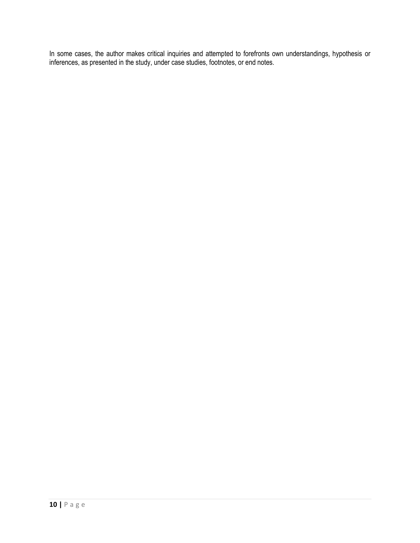In some cases, the author makes critical inquiries and attempted to forefronts own understandings, hypothesis or inferences, as presented in the study, under case studies, footnotes, or end notes.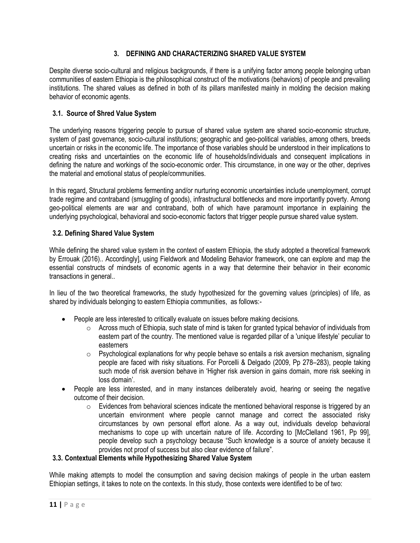## **3. DEFINING AND CHARACTERIZING SHARED VALUE SYSTEM**

Despite diverse socio-cultural and religious backgrounds, if there is a unifying factor among people belonging urban communities of eastern Ethiopia is the philosophical construct of the motivations (behaviors) of people and prevailing institutions. The shared values as defined in both of its pillars manifested mainly in molding the decision making behavior of economic agents.

## **3.1. Source of Shred Value System**

The underlying reasons triggering people to pursue of shared value system are shared socio-economic structure, system of past governance, socio-cultural institutions; geographic and geo-political variables, among others, breeds uncertain or risks in the economic life. The importance of those variables should be understood in their implications to creating risks and uncertainties on the economic life of households/individuals and consequent implications in defining the nature and workings of the socio-economic order. This circumstance, in one way or the other, deprives the material and emotional status of people/communities.

In this regard, Structural problems fermenting and/or nurturing economic uncertainties include unemployment, corrupt trade regime and contraband (smuggling of goods), infrastructural bottlenecks and more importantly poverty. Among geo-political elements are war and contraband, both of which have paramount importance in explaining the underlying psychological, behavioral and socio-economic factors that trigger people pursue shared value system.

### **3.2. Defining Shared Value System**

While defining the shared value system in the context of eastern Ethiopia, the study adopted a theoretical framework by Errouak (2016).. Accordingly], using Fieldwork and Modeling Behavior framework, one can explore and map the essential constructs of mindsets of economic agents in a way that determine their behavior in their economic transactions in general..

In lieu of the two theoretical frameworks, the study hypothesized for the governing values (principles) of life, as shared by individuals belonging to eastern Ethiopia communities, as follows:-

- People are less interested to critically evaluate on issues before making decisions.
	- $\circ$  Across much of Ethiopia, such state of mind is taken for granted typical behavior of individuals from eastern part of the country. The mentioned value is regarded pillar of a 'unique lifestyle" peculiar to easterners
	- $\circ$  Psychological explanations for why people behave so entails a risk aversion mechanism, signaling people are faced with risky situations. For Porcelli & Delgado (2009, Pp 278–283), people taking such mode of risk aversion behave in "Higher risk aversion in gains domain, more risk seeking in loss domain'.
- People are less interested, and in many instances deliberately avoid, hearing or seeing the negative outcome of their decision.
	- $\circ$  Evidences from behavioral sciences indicate the mentioned behavioral response is triggered by an uncertain environment where people cannot manage and correct the associated risky circumstances by own personal effort alone. As a way out, individuals develop behavioral mechanisms to cope up with uncertain nature of life. According to [McClelland 1961, Pp 99], people develop such a psychology because "Such knowledge is a source of anxiety because it provides not proof of success but also clear evidence of failure".

### **3.3. Contextual Elements while Hypothesizing Shared Value System**

While making attempts to model the consumption and saving decision makings of people in the urban eastern Ethiopian settings, it takes to note on the contexts. In this study, those contexts were identified to be of two: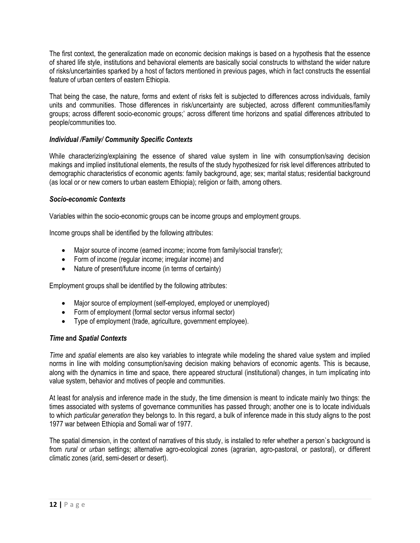The first context, the generalization made on economic decision makings is based on a hypothesis that the essence of shared life style, institutions and behavioral elements are basically social constructs to withstand the wider nature of risks/uncertainties sparked by a host of factors mentioned in previous pages, which in fact constructs the essential feature of urban centers of eastern Ethiopia.

That being the case, the nature, forms and extent of risks felt is subjected to differences across individuals, family units and communities. Those differences in risk/uncertainty are subjected, across different communities/family groups; across different socio-economic groups;" across different time horizons and spatial differences attributed to people/communities too.

## *Individual /Family/ Community Specific Contexts*

While characterizing/explaining the essence of shared value system in line with consumption/saving decision makings and implied institutional elements, the results of the study hypothesized for risk level differences attributed to demographic characteristics of economic agents: family background, age; sex; marital status; residential background (as local or or new comers to urban eastern Ethiopia); religion or faith, among others.

### *Socio-economic Contexts*

Variables within the socio-economic groups can be income groups and employment groups.

Income groups shall be identified by the following attributes:

- Major source of income (earned income; income from family/social transfer);
- Form of income (regular income; irregular income) and
- Nature of present/future income (in terms of certainty)

Employment groups shall be identified by the following attributes:

- Major source of employment (self-employed, employed or unemployed)
- Form of employment (formal sector versus informal sector)
- Type of employment (trade, agriculture, government employee).

### *Time* **and** *Spatial Contexts*

*Time* and *spatial* elements are also key variables to integrate while modeling the shared value system and implied norms in line with molding consumption/saving decision making behaviors of economic agents. This is because, along with the dynamics in time and space, there appeared structural (institutional) changes, in turn implicating into value system, behavior and motives of people and communities.

At least for analysis and inference made in the study, the time dimension is meant to indicate mainly two things: the times associated with systems of governance communities has passed through; another one is to locate individuals to which *particular generation* they belongs to. In this regard, a bulk of inference made in this study aligns to the post 1977 war between Ethiopia and Somali war of 1977.

The spatial dimension, in the context of narratives of this study, is installed to refer whether a person`s background is from *rural* or *urban* settings; alternative agro-ecological zones (agrarian, agro-pastoral, or pastoral), or different climatic zones (arid, semi-desert or desert).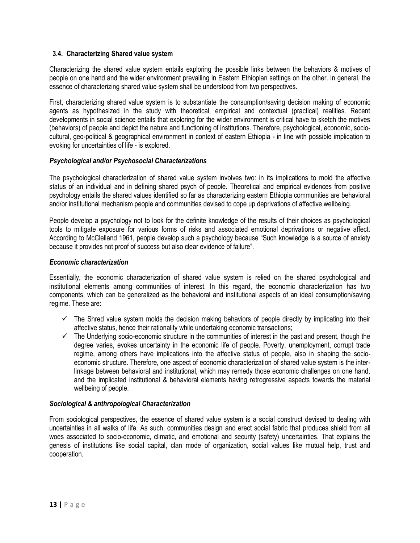#### **3.4. Characterizing Shared value system**

Characterizing the shared value system entails exploring the possible links between the behaviors & motives of people on one hand and the wider environment prevailing in Eastern Ethiopian settings on the other. In general, the essence of characterizing shared value system shall be understood from two perspectives.

First, characterizing shared value system is to substantiate the consumption/saving decision making of economic agents as hypothesized in the study with theoretical, empirical and contextual (practical) realities. Recent developments in social science entails that exploring for the wider environment is critical have to sketch the motives (behaviors) of people and depict the nature and functioning of institutions. Therefore, psychological, economic, sociocultural, geo-political & geographical environment in context of eastern Ethiopia - in line with possible implication to evoking for uncertainties of life - is explored.

#### *Psychological and/or Psychosocial Characterizations*

The psychological characterization of shared value system involves two: in its implications to mold the affective status of an individual and in defining shared psych of people. Theoretical and empirical evidences from positive psychology entails the shared values identified so far as characterizing eastern Ethiopia communities are behavioral and/or institutional mechanism people and communities devised to cope up deprivations of affective wellbeing.

People develop a psychology not to look for the definite knowledge of the results of their choices as psychological tools to mitigate exposure for various forms of risks and associated emotional deprivations or negative affect. According to McClelland 1961, people develop such a psychology because "Such knowledge is a source of anxiety because it provides not proof of success but also clear evidence of failure".

#### *Economic characterization*

Essentially, the economic characterization of shared value system is relied on the shared psychological and institutional elements among communities of interest. In this regard, the economic characterization has two components, which can be generalized as the behavioral and institutional aspects of an ideal consumption/saving regime. These are:

- $\checkmark$  The Shred value system molds the decision making behaviors of people directly by implicating into their affective status, hence their rationality while undertaking economic transactions;
- $\checkmark$  The Underlying socio-economic structure in the communities of interest in the past and present, though the degree varies, evokes uncertainty in the economic life of people. Poverty, unemployment, corrupt trade regime, among others have implications into the affective status of people, also in shaping the socioeconomic structure. Therefore, one aspect of economic characterization of shared value system is the interlinkage between behavioral and institutional, which may remedy those economic challenges on one hand, and the implicated institutional & behavioral elements having retrogressive aspects towards the material wellbeing of people.

#### *Sociological & anthropological Characterization*

From sociological perspectives, the essence of shared value system is a social construct devised to dealing with uncertainties in all walks of life. As such, communities design and erect social fabric that produces shield from all woes associated to socio-economic, climatic, and emotional and security (safety) uncertainties. That explains the genesis of institutions like social capital, clan mode of organization, social values like mutual help, trust and cooperation.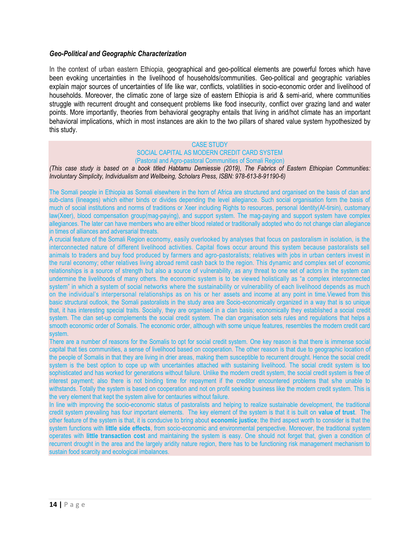#### *Geo-Political and Geographic Characterization*

In the context of urban eastern Ethiopia, geographical and geo-political elements are powerful forces which have been evoking uncertainties in the livelihood of households/communities. Geo-political and geographic variables explain major sources of uncertainties of life like war, conflicts, volatilities in socio-economic order and livelihood of households. Moreover, the climatic zone of large size of eastern Ethiopia is arid & semi-arid, where communities struggle with recurrent drought and consequent problems like food insecurity, conflict over grazing land and water points. More importantly, theories from behavioral geography entails that living in arid/hot climate has an important behavioral implications, which in most instances are akin to the two pillars of shared value system hypothesized by this study.

#### CASE STUDY

#### SOCIAL CAPITAL AS MODERN CREDIT CARD SYSTEM (Pastoral and Agro-pastoral Communities of Somali Region)

*(This case study is based on a book titled Habtamu Demiessie (2019), The Fabrics of Eastern Ethiopian Communities: Involuntary Simplicity, Individualism and Wellbeing, Scholars Press, ISBN: 978-613-8-91190-6)*

The Somali people in Ethiopia as Somali elsewhere in the horn of Africa are structured and organised on the basis of clan and sub-clans (lineages) which either binds or divides depending the level allegiance. Such social organisation form the basis of much of social institutions and norms of traditions or Xeer including Rights to resources, personal Identity(Af-tirsin), customary law(Xeer), blood compensation group(mag-paying), and support system. The mag-paying and support system have complex allegiances. The later can have members who are either blood related or traditionally adopted who do not change clan allegiance in times of alliances and adversarial threats.

A crucial feature of the Somali Region economy, easily overlooked by analyses that focus on pastoralism in isolation, is the interconnected nature of different livelihood activities. Capital flows occur around this system because pastoralists sell animals to traders and buy food produced by farmers and agro-pastoralists; relatives with jobs in urban centers invest in the rural economy; other relatives living abroad remit cash back to the region. This dynamic and complex set of economic relationships is a source of strength but also a source of vulnerability, as any threat to one set of actors in the system can undermine the livelihoods of many others. the economic system is to be viewed holistically as "a complex interconnected system" in which a system of social networks where the sustainability or vulnerability of each livelihood depends as much on the individual"s interpersonal relationships as on his or her assets and income at any point in time.Viewed from this basic structural outlook, the Somali pastoralists in the study area are Socio-economically organized in a way that is so unique that, it has interesting special traits. Socially, they are organised in a clan basis; economically they established a social credit system. The clan set-up complements the social credit system. The clan organisation sets rules and regulations that helps a smooth economic order of Somalis. The economic order, although with some unique features, resembles the modern credit card system.

There are a number of reasons for the Somalis to opt for social credit system. One key reason is that there is immense social capital that ties communities, a sense of livelihood based on cooperation. The other reason is that due to geographic location of the people of Somalis in that they are living in drier areas, making them susceptible to recurrent drought. Hence the social credit system is the best option to cope up with uncertainties attached with sustaining livelihood. The social credit system is too sophisticated and has worked for generations without failure. Unlike the modern credit system, the social credit system is free of interest payment; also there is not binding time for repayment if the creditor encountered problems that s/he unable to withstands. Totally the system is based on cooperation and not on profit seeking business like the modern credit system. This is the very element that kept the system alive for centauries without failure.

In line with improving the socio-economic status of pastoralists and helping to realize sustainable development, the traditional credit system prevailing has four important elements. The key element of the system is that it is built on **value of trust**. The other feature of the system is that, it is conducive to bring about **economic justice**; the third aspect worth to consider is that the system functions with **little side effects**, from socio-economic and environmental perspective. Moreover, the traditional system operates with **little transaction cost** and maintaining the system is easy. One should not forget that, given a condition of recurrent drought in the area and the largely aridity nature region, there has to be functioning risk management mechanism to sustain food scarcity and ecological imbalances.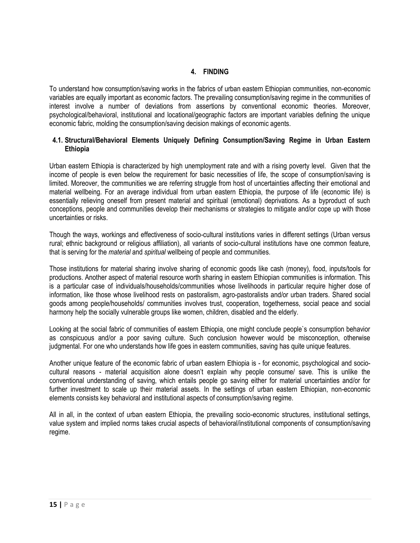### **4. FINDING**

To understand how consumption/saving works in the fabrics of urban eastern Ethiopian communities, non-economic variables are equally important as economic factors. The prevailing consumption/saving regime in the communities of interest involve a number of deviations from assertions by conventional economic theories. Moreover, psychological/behavioral, institutional and locational/geographic factors are important variables defining the unique economic fabric, molding the consumption/saving decision makings of economic agents.

### **4.1. Structural/Behavioral Elements Uniquely Defining Consumption/Saving Regime in Urban Eastern Ethiopia**

Urban eastern Ethiopia is characterized by high unemployment rate and with a rising poverty level. Given that the income of people is even below the requirement for basic necessities of life, the scope of consumption/saving is limited. Moreover, the communities we are referring struggle from host of uncertainties affecting their emotional and material wellbeing. For an average individual from urban eastern Ethiopia, the purpose of life (economic life) is essentially relieving oneself from present material and spiritual (emotional) deprivations. As a byproduct of such conceptions, people and communities develop their mechanisms or strategies to mitigate and/or cope up with those uncertainties or risks.

Though the ways, workings and effectiveness of socio-cultural institutions varies in different settings (Urban versus rural; ethnic background or religious affiliation), all variants of socio-cultural institutions have one common feature, that is serving for the *material* and *spiritual* wellbeing of people and communities.

Those institutions for material sharing involve sharing of economic goods like cash (money), food, inputs/tools for productions. Another aspect of material resource worth sharing in eastern Ethiopian communities is information. This is a particular case of individuals/households/communities whose livelihoods in particular require higher dose of information, like those whose livelihood rests on pastoralism, agro-pastoralists and/or urban traders. Shared social goods among people/households/ communities involves trust, cooperation, togetherness, social peace and social harmony help the socially vulnerable groups like women, children, disabled and the elderly.

Looking at the social fabric of communities of eastern Ethiopia, one might conclude people`s consumption behavior as conspicuous and/or a poor saving culture. Such conclusion however would be misconception, otherwise judgmental. For one who understands how life goes in eastern communities, saving has quite unique features.

Another unique feature of the economic fabric of urban eastern Ethiopia is - for economic, psychological and sociocultural reasons - material acquisition alone doesn"t explain why people consume/ save. This is unlike the conventional understanding of saving, which entails people go saving either for material uncertainties and/or for further investment to scale up their material assets. In the settings of urban eastern Ethiopian, non-economic elements consists key behavioral and institutional aspects of consumption/saving regime.

All in all, in the context of urban eastern Ethiopia, the prevailing socio-economic structures, institutional settings, value system and implied norms takes crucial aspects of behavioral/institutional components of consumption/saving regime.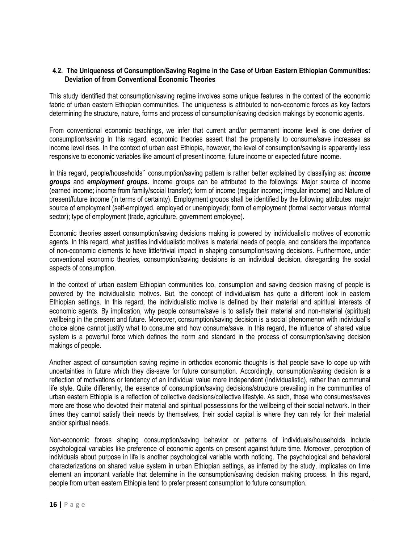#### **4.2. The Uniqueness of Consumption/Saving Regime in the Case of Urban Eastern Ethiopian Communities: Deviation of from Conventional Economic Theories**

This study identified that consumption/saving regime involves some unique features in the context of the economic fabric of urban eastern Ethiopian communities. The uniqueness is attributed to non-economic forces as key factors determining the structure, nature, forms and process of consumption/saving decision makings by economic agents.

From conventional economic teachings, we infer that current and/or permanent income level is one deriver of consumption/saving In this regard, economic theories assert that the propensity to consume/save increases as income level rises. In the context of urban east Ethiopia, however, the level of consumption/saving is apparently less responsive to economic variables like amount of present income, future income or expected future income.

In this regard, people/households"` consumption/saving pattern is rather better explained by classifying as: *income groups* and *employment groups.* Income groups can be attributed to the followings: Major source of income (earned income; income from family/social transfer); form of income (regular income; irregular income) and Nature of present/future income (in terms of certainty). Employment groups shall be identified by the following attributes: major source of employment (self-employed, employed or unemployed); form of employment (formal sector versus informal sector); type of employment (trade, agriculture, government employee).

Economic theories assert consumption/saving decisions making is powered by individualistic motives of economic agents. In this regard, what justifies individualistic motives is material needs of people, and considers the importance of non-economic elements to have little/trivial impact in shaping consumption/saving decisions. Furthermore, under conventional economic theories, consumption/saving decisions is an individual decision, disregarding the social aspects of consumption.

In the context of urban eastern Ethiopian communities too, consumption and saving decision making of people is powered by the individualistic motives. But, the concept of individualism has quite a different look in eastern Ethiopian settings. In this regard, the individualistic motive is defined by their material and spiritual interests of economic agents. By implication, why people consume/save is to satisfy their material and non-material (spiritual) wellbeing in the present and future. Moreover, consumption/saving decision is a social phenomenon with individual`s choice alone cannot justify what to consume and how consume/save. In this regard, the influence of shared value system is a powerful force which defines the norm and standard in the process of consumption/saving decision makings of people.

Another aspect of consumption saving regime in orthodox economic thoughts is that people save to cope up with uncertainties in future which they dis-save for future consumption. Accordingly, consumption/saving decision is a reflection of motivations or tendency of an individual value more independent (individualistic), rather than communal life style. Quite differently, the essence of consumption/saving decisions/structure prevailing in the communities of urban eastern Ethiopia is a reflection of collective decisions/collective lifestyle. As such, those who consumes/saves more are those who devoted their material and spiritual possessions for the wellbeing of their social network. In their times they cannot satisfy their needs by themselves, their social capital is where they can rely for their material and/or spiritual needs.

Non-economic forces shaping consumption/saving behavior or patterns of individuals/households include psychological variables like preference of economic agents on present against future time. Moreover, perception of individuals about purpose in life is another psychological variable worth noticing. The psychological and behavioral characterizations on shared value system in urban Ethiopian settings, as inferred by the study, implicates on time element an important variable that determine in the consumption/saving decision making process. In this regard, people from urban eastern Ethiopia tend to prefer present consumption to future consumption.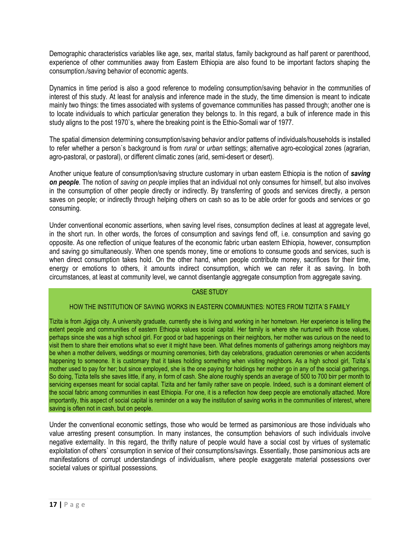Demographic characteristics variables like age, sex, marital status, family background as half parent or parenthood, experience of other communities away from Eastern Ethiopia are also found to be important factors shaping the consumption./saving behavior of economic agents.

Dynamics in time period is also a good reference to modeling consumption/saving behavior in the communities of interest of this study. At least for analysis and inference made in the study, the time dimension is meant to indicate mainly two things: the times associated with systems of governance communities has passed through; another one is to locate individuals to which particular generation they belongs to. In this regard, a bulk of inference made in this study aligns to the post 1970`s, where the breaking point is the Ethio-Somali war of 1977.

The spatial dimension determining consumption/saving behavior and/or patterns of individuals/households is installed to refer whether a person`s background is from *rural* or *urban* settings; alternative agro-ecological zones (agrarian, agro-pastoral, or pastoral), or different climatic zones (arid, semi-desert or desert).

Another unique feature of consumption/saving structure customary in urban eastern Ethiopia is the notion of *saving on people*. The notion of *saving on people* implies that an individual not only consumes for himself, but also involves in the consumption of other people directly or indirectly. By transferring of goods and services directly, a person saves on people; or indirectly through helping others on cash so as to be able order for goods and services or go consuming.

Under conventional economic assertions, when saving level rises, consumption declines at least at aggregate level, in the short run. In other words, the forces of consumption and savings fend off, i.e. consumption and saving go opposite. As one reflection of unique features of the economic fabric urban eastern Ethiopia, however, consumption and saving go simultaneously. When one spends money, time or emotions to consume goods and services, such is when direct consumption takes hold. On the other hand, when people contribute money, sacrifices for their time, energy or emotions to others, it amounts indirect consumption, which we can refer it as saving. In both circumstances, at least at community level, we cannot disentangle aggregate consumption from aggregate saving.

#### CASE STUDY

#### HOW THE INSTITUTION OF SAVING WORKS IN EASTERN COMMUNTIES: NOTES FROM TIZITA`S FAMILY

Tizita is from Jigjiga city. A university graduate, currently she is living and working in her hometown. Her experience is telling the extent people and communities of eastern Ethiopia values social capital. Her family is where she nurtured with those values, perhaps since she was a high school girl. For good or bad happenings on their neighbors, her mother was curious on the need to visit them to share their emotions what so ever it might have been. What defines moments of gatherings among neighbors may be when a mother delivers, weddings or mourning ceremonies, birth day celebrations, graduation ceremonies or when accidents happening to someone. It is customary that it takes holding something when visiting neighbors. As a high school girl, Tizita's mother used to pay for her; but since employed, she is the one paying for holdings her mother go in any of the social gatherings. So doing, Tizita tells she saves little, if any, in form of cash. She alone roughly spends an average of 500 to 700 birr per month to servicing expenses meant for social capital. Tizita and her family rather save on people. Indeed, such is a dominant element of the social fabric among communities in east Ethiopia. For one, it is a reflection how deep people are emotionally attached. More importantly, this aspect of social capital is reminder on a way the institution of saving works in the communities of interest, where saving is often not in cash, but on people.

Under the conventional economic settings, those who would be termed as parsimonious are those individuals who value arresting present consumption. In many instances, the consumption behaviors of such individuals involve negative externality. In this regard, the thrifty nature of people would have a social cost by virtues of systematic exploitation of others` consumption in service of their consumptions/savings. Essentially, those parsimonious acts are manifestations of corrupt understandings of individualism, where people exaggerate material possessions over societal values or spiritual possessions.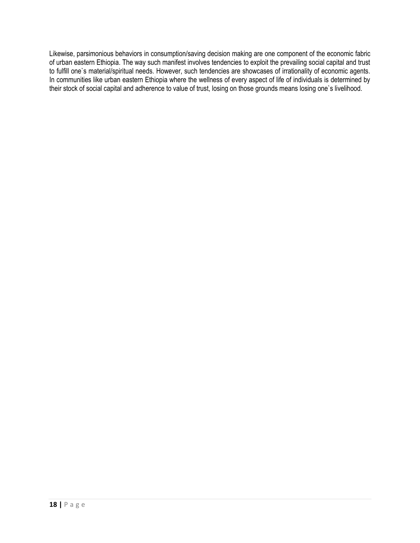Likewise, parsimonious behaviors in consumption/saving decision making are one component of the economic fabric of urban eastern Ethiopia. The way such manifest involves tendencies to exploit the prevailing social capital and trust to fulfill one`s material/spiritual needs. However, such tendencies are showcases of irrationality of economic agents. In communities like urban eastern Ethiopia where the wellness of every aspect of life of individuals is determined by their stock of social capital and adherence to value of trust, losing on those grounds means losing one`s livelihood.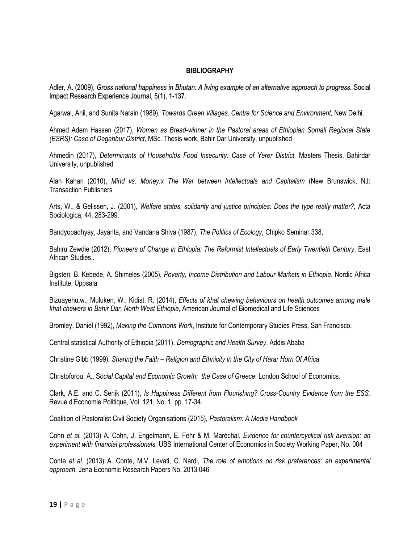#### **BIBLIOGRAPHY**

Adler, A. (2009), *Gross national happiness in Bhutan: A living example of an alternative approach to progress.* Social Impact Research Experience Journal, 5(1), 1-137.

Agarwal, Anil, and Sunita Narain (1989), *Towards Green Villages, Centre for Science and Environment,* New Delhi.

Ahmed Adem Hassen (2017), *Women as Bread-winner in the Pastoral areas of Ethiopian Somali Regional State (ESRS): Case of Degahbur District*, MSc. Thesis work, Bahir Dar University, unpublished

Ahmedin (2017), *Determinants of Households Food Insecurity: Case of Yerer District,* Masters Thesis, Bahirdar University, unpublished

Alan Kahan (2010), *Mind vs. Money:x The War between Intellectuals and Capitalism* (New Brunswick, NJ: Transaction Publishers

Arts, W., & Gelissen, J. (2001), *Welfare states, solidarity and justice principles: Does the type really matter?,* Acta Sociologica, 44, 283-299.

Bandyopadhyay, Jayanta, and Vandana Shiva (1987), *The Politics of Ecology,* Chipko Seminar 338,

Bahiru Zewdie (2012), *Pioneers of Change in Ethiopia: The Reformist Intellectuals of Early Twentieth Century*, East African Studies,.

Bigsten, B. Kebede, A. Shimeles (2005), *Poverty, Income Distribution and Labour Markets in Ethiopia*, Nordic Africa Institute, Uppsala

Bizuayehu,w., Muluken, W., Kidist, R. (2014), *Effects of khat chewing behaviours on health outcomes among male khat chewers in Bahir Dar, North West Ethiopia,* American Journal of Biomedical and Life Sciences

Bromley, Daniel (1992), *Making the Commons Work*, Institute for Contemporary Studies Press, San Francisco.

Central statistical Authority of Ethiopia (2011), *Demographic and Health Survey*, Addis Ababa

Christine Gibb (1999), *Sharing the Faith – Religion and Ethnicity in the City of Harar Horn Of Africa*

Christoforou, A., S*ocial Capital and Economic Growth: the Case of Greece*, London School of Economics.

Clark, A.E. and C. Senik (2011), *Is Happiness Different from Flourishing? Cross-Country Evidence from the ESS,*  Revue d"Économie Politique, Vol. 121, No. 1, pp. 17-34.

Coalition of Pastoralist Civil Society Organisations (2015), *Pastoralism: A Media Handbook*

Cohn *et al.* (2013) A. Cohn, J. Engelmann, E. Fehr & M. Maréchal, *Evidence for countercyclical risk aversion: an experiment with financial professionals.* UBS International Center of Economics in Society Working Paper, No. 004

Conte *et al.* (2013) A. Conte, M.V. Levati, C. Nardi, *The role of emotions on risk preferences: an experimental approach,* Jena Economic Research Papers No. 2013 046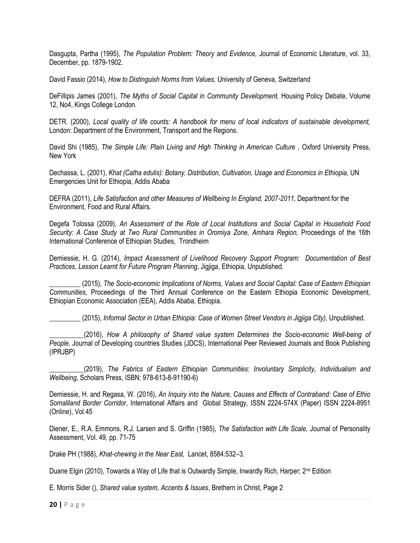Dasgupta, Partha (1995), *The Population Problem: Theory and Evidence,* Journal of Economic Literature, vol. 33, December, pp. 1879-1902.

David Fassio (2014), *How to Distinguish Norms from Values,* University of Geneva, Switzerland

DeFillipis James (2001), *The Myths of Social Capital in Community Development,* Housing Policy Debate, Volume 12, No4, Kings College London.

DETR. (2000), *Local quality of life counts: A handbook for menu of local indicators of sustainable development,*  London: Department of the Environment, Transport and the Regions.

David Shi (1985), *The Simple Life: Plain Living and High Thinking in American Culture, Oxford University Press,* New York

Dechassa, L. (2001), *Khat (Catha edulis): Botany, Distribution, Cultivation, Usage and Economics in Ethiopia,* UN Emergencies Unit for Ethiopia, Addis Ababa

DEFRA (2011), *Life Satisfaction and other Measures of Wellbeing In England, 2007-2011*, Department for the Environment, Food and Rural Affairs.

Degefa Tolossa (2009), *An Assessment of the Role of Local Institutions and Social Capital in Household Food*  Security: A Case Study at Two Rural Communities in Oromiya Zone, Amhara Region, Proceedings of the 16th International Conference of Ethiopian Studies, Trondheim

Demiessie, H. G. (2014), *Impact Assessment of Livelihood Recovery Support Program: Documentation of Best Practices, Lesson Learnt for Future Program Planning*, Jigjiga, Ethiopia, Unpublished.

\_\_\_\_\_\_\_\_\_ (2015), *The Socio-economic Implications of Norms, Values and Social Capital: Case of Eastern Ethiopian Communities,* Proceedings of the Third Annual Conference on the Eastern Ethiopia Economic Development, Ethiopian Economic Association (EEA), Addis Ababa, Ethiopia.

\_\_\_\_\_\_\_\_\_ (2015), *Informal Sector in Urban Ethiopia: Case of Women Street Vendors in Jigjiga City),* Unpublished.

\_\_\_\_\_\_\_\_\_\_(2016), *How A philosophy of Shared value system Determines the Socio-economic Well-being of People,* Journal of Developing countries Studies (JDCS), International Peer Reviewed Journals and Book Publishing (IPRJBP)

\_\_\_\_\_\_\_\_\_\_(2019), *The Fabrics of Eastern Ethiopian Communities: Involuntary Simplicity, Individualism and Wellbeing,* Scholars Press, ISBN: 978-613-8-91190-6)

Demiessie, H. and Regasa, W. (2016), *An Inquiry into the Nature, Causes and Effects of Contraband: Case of Ethio Somaliland Border Corrido*r, International Affairs and Global Strategy, ISSN 2224-574X (Paper) ISSN 2224-8951 (Online), Vol.45

Diener, E., R.A. Emmons, R.J. Larsen and S. Griffin (1985), *The Satisfaction with Life Scale,* Journal of Personality Assessment, Vol. 49, pp. 71-75

Drake PH (1988), *Khat-chewing in the Near East,* Lancet, 8584:532–3.

Duane Elgin (2010), Towards a Way of Life that is Outwardly Simple, Inwardly Rich, Harper; 2<sup>nd</sup> Edition

E. Morris Sider (), *Shared value system, Accents & Issues*, Brethern in Christ, Page 2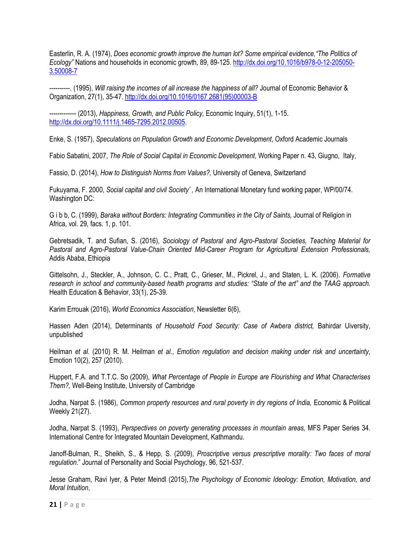Easterlin, R. A. (1974), *Does economic growth improve the human lot? Some empirical evidence,"The Politics of Ecology"* Nations and households in economic growth, 89, 89-125. [http://dx.doi.org/10.1016/b978-0-12-205050-](http://dx.doi.org/10.1016/b978-0-12-205050-3.50008-7) [3.50008-7](http://dx.doi.org/10.1016/b978-0-12-205050-3.50008-7)

----------. (1995), *Will raising the incomes of all increase the happiness of all?* Journal of Economic Behavior & Organization, 27(1), 35-47[. http://dx.doi.org/10.1016/0167 2681\(95\)00003-B](http://dx.doi.org/10.1016/0167%202681(95)00003-B)

--- (2013), *Happiness, Growth, and Public Policy, Economic Inquiry, 51(1), 1-15.* [http://dx.doi.org/10.1111/j.1465-7295.2012.00505.](http://dx.doi.org/10.1111/j.1465-7295.2012.00505)

Enke, S. (1957), *Speculations on Population Growth and Economic Development*, Oxford Academic Journals

Fabio Sabatini, 2007, *The Role of Social Capital in Economic Development*, Working Paper n. 43, Giugno, Italy,

Fassio, D. (2014), *How to Distinguish Norms from Values?,* University of Geneva, Switzerland

Fukuyama, F. 2000, *Social capital and civil Society' ,* An International Monetary fund working paper, WP/00/74. Washington DC:

G i b b, C. (1999), *Baraka without Borders: Integrating Communities in the City of Saints,* Journal of Religion in Africa, vol. 29, facs. 1, p. 101.

Gebretsadik, T. and Sufian, S. (2016), *Sociology of Pastoral and Agro-Pastoral Societies, Teaching Material for Pastoral and Agro-Pastoral Value-Chain Oriented Mid-Career Program for Agricultural Extension Professionals,* Addis Ababa, Ethiopia

Gittelsohn, J., Steckler, A., Johnson, C. C., Pratt, C., Grieser, M., Pickrel, J., and Staten, L. K. (2006). *Formative research in school and community-based health programs and studies: "State of the art" and the TAAG approach.* Health Education & Behavior, 33(1), 25-39.

Karim Errouak (2016), *World Economics Association*, Newsletter 6(6),

Hassen Aden (2014), Determinants *of Household Food Security: Case of Awbera district,* Bahirdar Uiversity, unpublished

Heilman *et al.* (2010) R. M. Heilman *et al.*, *Emotion regulation and decision making under risk and uncertainty,*  Emotion 10(2), 257 (2010).

Huppert, F.A. and T.T.C. So (2009), *What Percentage of People in Europe are Flourishing and What Characterises Them?,* Well-Being Institute, University of Cambridge

Jodha, Narpat S. (1986), *Common property resources and rural poverty in dry regions of India,* Economic & Political Weekly 21(27).

Jodha, Narpat S. (1993), *Perspectives on poverty generating processes in mountain areas,* MFS Paper Series 34. International Centre for Integrated Mountain Development, Kathmandu.

Janoff-Bulman, R., Sheikh, S., & Hepp, S. (2009), *Proscriptive versus prescriptive morality: Two faces of moral regulation*." Journal of Personality and Social Psychology, 96, 521-537.

Jesse Graham, Ravi Iyer, & Peter Meindl (2015),*The Psychology of Economic Ideology: Emotion, Motivation, and Moral Intuition*,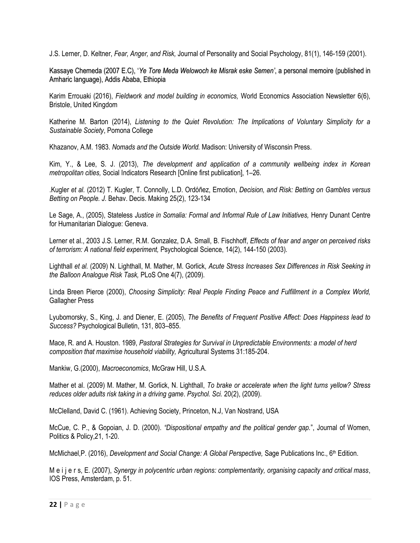J.S. Lerner, D. Keltner, *Fear, Anger, and Risk,* Journal of Personality and Social Psychology, 81(1), 146-159 (2001).

Kassaye Chemeda (2007 E.C), "*Ye Tore Meda Welowoch ke Misrak eske Semen'*, a personal memoire (published in Amharic language), Addis Ababa, Ethiopia

Karim Errouaki (2016), *Fieldwork and model building in economics,* World Economics Association Newsletter 6(6), Bristole, United Kingdom

Katherine M. Barton (2014), *Listening to the Quiet Revolution: The Implications of Voluntary Simplicity for a Sustainable Society*, Pomona College

Khazanov, A.M. 1983. *Nomads and the Outside World.* Madison: University of Wisconsin Press.

Kim, Y., & Lee, S. J. (2013), *The development and application of a community wellbeing index in Korean metropolitan cities,* Social Indicators Research [Online first publication], 1–26.

.Kugler *et al.* (2012) T. Kugler, T. Connolly, L.D. Ordóñez, Emotion, *Decision, and Risk: Betting on Gambles versus Betting on People. J.* Behav. Decis. Making 25(2), 123-134

Le Sage, A., (2005), Stateless *Justice in Somalia: Formal and Informal Rule of Law Initiatives*, Henry Dunant Centre for Humanitarian Dialogue: Geneva.

Lerner et al., 2003 J.S. Lerner, R.M. Gonzalez, D.A. Small, B. Fischhoff, *Effects of fear and anger on perceived risks of terrorism: A national field experiment,* Psychological Science, 14(2), 144-150 (2003).

Lighthall *et al.* (2009) N. Lighthall, M. Mather, M. Gorlick, *Acute Stress Increases Sex Differences in Risk Seeking in the Balloon Analogue Risk Task,* PLoS One 4(7), (2009).

Linda Breen Pierce (2000), *Choosing Simplicity: Real People Finding Peace and Fulfillment in a Complex World,*  Gallagher Press

Lyubomorsky, S., King, J. and Diener, E. (2005), *The Benefits of Frequent Positive Affect: Does Happiness lead to Success?* Psychological Bulletin, 131, 803–855.

Mace, R. and A. Houston. 1989, *Pastoral Strategies for Survival in Unpredictable Environments: a model of herd composition that maximise household viability,* Agricultural Systems 31:185-204.

Mankiw, G.(2000), *Macroeconomics*, McGraw Hill, U.S.A.

Mather et al. (2009) M. Mather, M. Gorlick, N. Lighthall, *To brake or accelerate when the light turns yellow? Stress reduces older adults risk taking in a driving game*. *Psychol. Sci.* 20(2), (2009).

McClelland, David C. (1961). Achieving Society, Princeton, N.J, Van Nostrand, USA

McCue, C. P., & Gopoian, J. D. (2000). *"Dispositional empathy and the political gender gap.*", Journal of Women, Politics & Policy,21, 1-20.

McMichael,P. (2016), *Development and Social Change: A Global Perspective,* Sage Publications Inc., 6th Edition.

M e i j e r s, E. (2007), *Synergy in polycentric urban regions: complementarity, organising capacity and critical mass*, IOS Press, Amsterdam, p. 51.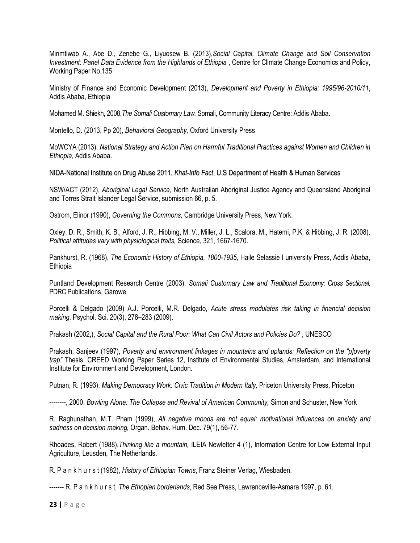Minmtiwab A., Abe D., Zenebe G., Liyuosew B. (2013),*Social Capital, Climate Change and Soil Conservation Investment: Panel Data Evidence from the Highlands of Ethiopia* , Centre for Climate Change Economics and Policy, Working Paper No.135

Ministry of Finance and Economic Development (2013), *Development and Poverty in Ethiopia: 1995/96-2010/11*, Addis Ababa, Ethiopia

Mohamed M. Shiekh, 2008,*The Somali Customary Law.* Somali, Community Literacy Centre: Addis Ababa.

Montello, D. (2013, Pp 20), *Behavioral Geography,* Oxford University Press

MoWCYA (2013), *National Strategy and Action Plan on Harmful Traditional Practices against Women and Children in Ethiopia*, Addis Ababa.

NIDA-National Institute on Drug Abuse 2011, *Khat-Info Fact*, U.S Department of Health & Human Services

NSW/ACT (2012), *Aboriginal Legal Service,* North Australian Aboriginal Justice Agency and Queensland Aboriginal and Torres Strait Islander Legal Service, submission 66, p. 5.

Ostrom, Elinor (1990), *Governing the Commons,* Cambridge University Press, New York.

Oxley, D. R., Smith, K. B., Alford, J. R., Hibbing, M. V., Miller, J. L., Scalora, M., Hatemi, P.K. & Hibbing, J. R. (2008), *Political attitudes vary with physiological traits,* Science, 321, 1667-1670.

Pankhurst, R. (1968), *The Economic History of Ethiopia, 1800-1935,* Haile Selassie I university Press, Addis Ababa, Ethiopia

Puntland Development Research Centre (2003), *Somali Customary Law and Traditional Economy: Cross Sectional,* PDRC Publications, Garowe.

Porcelli & Delgado (2009) A.J. Porcelli, M.R. Delgado, *Acute stress modulates risk taking in financial decision making*. Psychol. Sci. 20(3), 278–283 (2009).

Prakash (2002,), *Social Capital and the Rural Poor: What Can Civil Actors and Policies Do?* , UNESCO

Prakash, Sanjeev (1997), *Poverty and environment linkages in mountains and uplands: Reflection on the "p]overty trap"* Thesis, CREED Working Paper Series 12, Institute of Environmental Studies, Amsterdam, and International Institute for Environment and Development, London.

Putnan, R. (1993), *Making Democracy Work: Civic Tradition in Modern Italy*, Priceton University Press, Priceton

--------, 2000, *Bowling Alone: The Collapse and Revival of American Community,* Simon and Schuster, New York

R. Raghunathan, M.T. Pham (1999), *All negative moods are not equal: motivational influences on anxiety and sadness on decision making,* Organ. Behav. Hum. Dec. 79(1), 56-77.

Rhoades, Robert (1988),*Thinking like a mountain,* ILEIA Newletter 4 (1), Information Centre for Low External Input Agriculture, Leusden, The Netherlands.

R. P a n k h u r s t (1982), *History of Ethiopian Towns*, Franz Steiner Verlag, Wiesbaden.

------- R. P a n k h u r s t, *The Ethopian borderlands*, Red Sea Press, Lawrenceville-Asmara 1997, p. 61.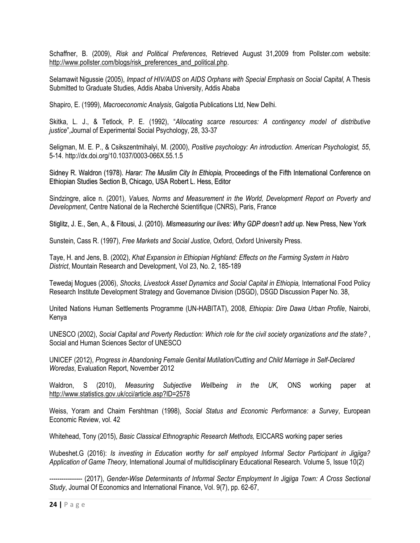Schaffner, B. (2009), *Risk and Political Preferences,* Retrieved August 31,2009 from Pollster.com website: [http://www.pollster.com/blogs/risk\\_preferences\\_and\\_political.php.](http://www.pollster.com/blogs/risk_preferences_and_political.php)

Selamawit Nigussie (2005), *Impact of HIV/AIDS on AIDS Orphans with Special Emphasis on Social Capital,* A Thesis Submitted to Graduate Studies, Addis Ababa University, Addis Ababa

Shapiro, E. (1999), *Macroeconomic Analysis*, Galgotia Publications Ltd, New Delhi.

Skitka, L. J., & Tetlock, P. E. (1992), "*Allocating scarce resources: A contingency model of distributive justice*",Journal of Experimental Social Psychology, 28, 33-37

Seligman, M. E. P., & Csikszentmihalyi, M. (2000), *Positive psychology: An introduction. American Psychologist, 55*, 5-14. http://dx.doi.org/10.1037/0003-066X.55.1.5

Sidney R. Waldron (1978). *Harar: The Muslim City In Ethiopia,* Proceedings of the Fifth International Conference on Ethiopian Studies Section B, Chicago, USA Robert L. Hess, Editor

Sindzingre, alice n. (2001), *Values, Norms and Measurement in the World, Development Report on Poverty and Development*, Centre National de la Recherché Scientifique (CNRS), Paris, France

Stiglitz, J. E., Sen, A., & Fitousi, J. (2010). *Mismeasuring our lives: Why GDP doesn't add up*. New Press, New York

Sunstein, Cass R. (1997), *Free Markets and Social Justice,* Oxford, Oxford University Press.

Taye, H. and Jens, B. (2002), *Khat Expansion in Ethiopian Highland: Effects on the Farming System in Habro District*, Mountain Research and Development, Vol 23, No. 2, 185-189

Tewedaj Mogues (2006), *Shocks, Livestock Asset Dynamics and Social Capital in Ethiopia,* International Food Policy Research Institute Development Strategy and Governance Division (DSGD), DSGD Discussion Paper No. 38,

United Nations Human Settlements Programme (UN-HABITAT), 2008, *Ethiopia: Dire Dawa Urban Profile*, Nairobi, Kenya

UNESCO (2002), *Social Capital and Poverty Reduction: Which role for the civil society organizations and the state?* , Social and Human Sciences Sector of UNESCO

UNICEF (2012), *Progress in Abandoning Female Genital Mutilation/Cutting and Child Marriage in Self-Declared Woredas*, Evaluation Report, November 2012

Waldron, S (2010), *Measuring Subjective Wellbeing in the UK,* ONS working paper at <http://www.statistics.gov.uk/cci/article.asp?ID=2578>

Weiss, Yoram and Chaim Fershtman (1998), *Social Status and Economic Performance: a Survey*, European Economic Review, vol. 42

Whitehead, Tony (2015), *Basic Classical Ethnographic Research Methods,* EICCARS working paper series

Wubeshet.G (2016): *Is investing in Education worthy for self employed Informal Sector Participant in Jigjiga? Application of Game Theory,* International Journal of multidisciplinary Educational Research. Volume 5, Issue 10(2)

---------------- (2017), *Gender-Wise Determinants of Informal Sector Employment In Jigjiga Town: A Cross Sectional Study*, Journal Of Economics and International Finance, Vol. 9(7), pp. 62-67,